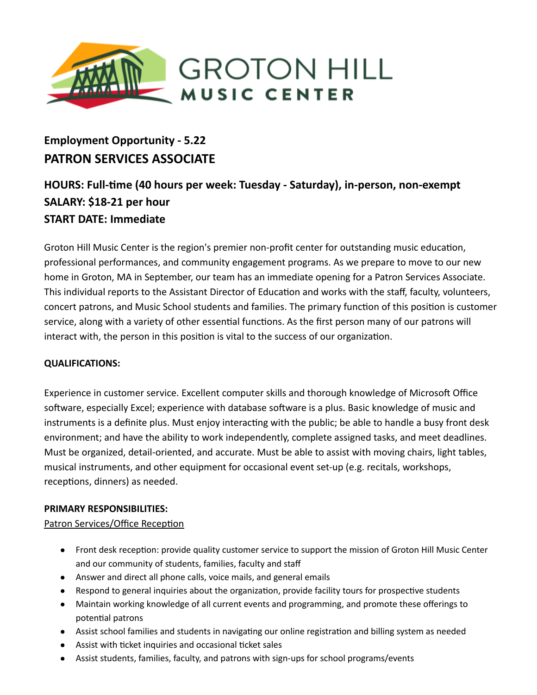

# **Employment Opportunity - 5.22 PATRON SERVICES ASSOCIATE**

# **HOURS: Full-me (40 hours per week: Tuesday - Saturday), in-person, non-exempt SALARY: \$18-21 per hour START DATE: Immediate**

Groton Hill Music Center is the region's premier non-profit center for outstanding music education, professional performances, and community engagement programs. As we prepare to move to our new home in Groton, MA in September, our team has an immediate opening for a Patron Services Associate. This individual reports to the Assistant Director of Education and works with the staff, faculty, volunteers, concert patrons, and Music School students and families. The primary function of this position is customer service, along with a variety of other essential functions. As the first person many of our patrons will interact with, the person in this position is vital to the success of our organization.

## **QUALIFICATIONS:**

Experience in customer service. Excellent computer skills and thorough knowledge of Microsoft Office software, especially Excel; experience with database software is a plus. Basic knowledge of music and instruments is a definite plus. Must enjoy interacting with the public; be able to handle a busy front desk environment; and have the ability to work independently, complete assigned tasks, and meet deadlines. Must be organized, detail-oriented, and accurate. Must be able to assist with moving chairs, light tables, musical instruments, and other equipment for occasional event set-up (e.g. recitals, workshops, receptions, dinners) as needed.

### **PRIMARY RESPONSIBILITIES:**

Patron Services/Office Reception

- Front desk reception: provide quality customer service to support the mission of Groton Hill Music Center and our community of students, families, faculty and staff
- Answer and direct all phone calls, voice mails, and general emails
- Respond to general inquiries about the organization, provide facility tours for prospective students
- Maintain working knowledge of all current events and programming, and promote these offerings to potential patrons
- Assist school families and students in navigating our online registration and billing system as needed
- Assist with ticket inquiries and occasional ticket sales
- Assist students, families, faculty, and patrons with sign-ups for school programs/events